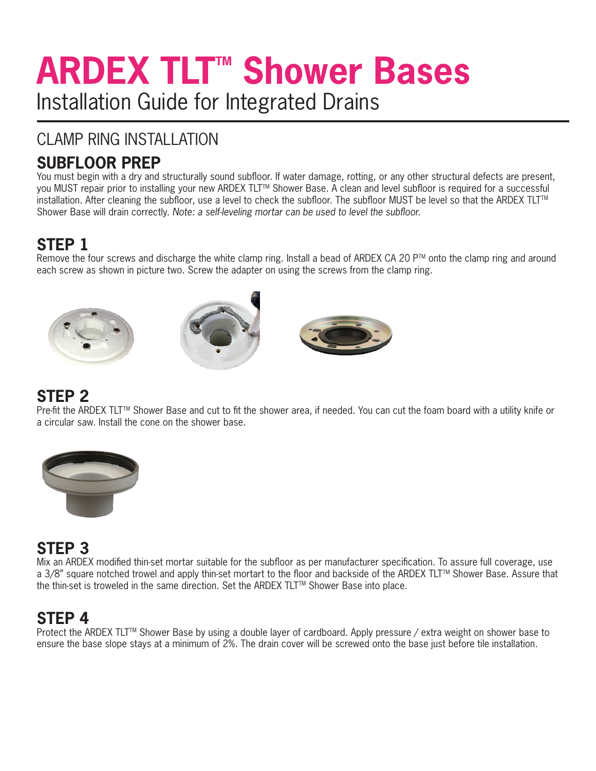# **ARDEX TLT™ Shower Bases** Installation Guide for Integrated Drains

## CLAMP RING INSTALLATION

## **SUBFLOOR PREP**

You must begin with a dry and structurally sound subfloor. If water damage, rotting, or any other structural defects are present, you MUST repair prior to installing your new ARDEX TLT™ Shower Base. A clean and level subfloor is required for a successful installation. After cleaning the subfloor, use a level to check the subfloor. The subfloor MUST be level so that the ARDEX TLTTM Shower Base will drain correctly. *Note: a self-leveling mortar can be used to level the subfloor.*

# **STEP 1**

Remove the four screws and discharge the white clamp ring. Install a bead of ARDEX CA 20 P™ onto the clamp ring and around each screw as shown in picture two. Screw the adapter on using the screws from the clamp ring.







#### **STEP 2**

Pre-fit the ARDEX TLT™ Shower Base and cut to fit the shower area, if needed. You can cut the foam board with a utility knife or a circular saw. Install the cone on the shower base.



## **STEP 3**

Mix an ARDEX modified thin-set mortar suitable for the subfloor as per manufacturer specification. To assure full coverage, use a 3/8" square notched trowel and apply thin-set mortart to the floor and backside of the ARDEX TLT™ Shower Base. Assure that the thin-set is troweled in the same direction. Set the ARDEX TLT™ Shower Base into place.

## **STEP 4**

Protect the ARDEX TLT<sup>™</sup> Shower Base by using a double layer of cardboard. Apply pressure / extra weight on shower base to ensure the base slope stays at a minimum of 2%. The drain cover will be screwed onto the base just before tile installation.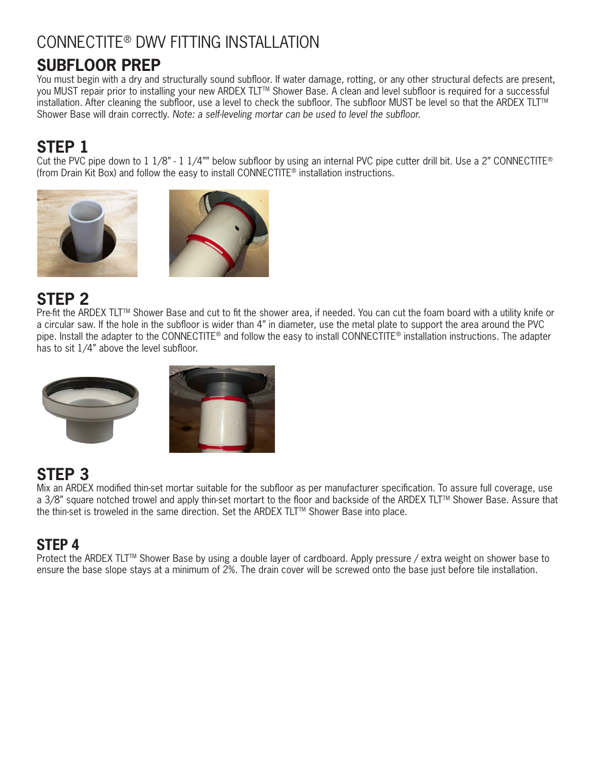## CONNECTITE® DWV FITTING INSTALLATION

## **SUBFLOOR PREP**

You must begin with a dry and structurally sound subfloor. If water damage, rotting, or any other structural defects are present, you MUST repair prior to installing your new ARDEX TLT™ Shower Base. A clean and level subfloor is required for a successful installation. After cleaning the subfloor, use a level to check the subfloor. The subfloor MUST be level so that the ARDEX TLT<sup>™</sup> Shower Base will drain correctly. *Note: a self-leveling mortar can be used to level the subfloor.*

## **STEP 1**

Cut the PVC pipe down to  $1\frac{1}{8}$  -  $1\frac{1}{4}$ " below subfloor by using an internal PVC pipe cutter drill bit. Use a 2" CONNECTITE® (from Drain Kit Box) and follow the easy to install CONNECTITE® installation instructions.





## **STEP 2**

Pre-fit the ARDEX TLT™ Shower Base and cut to fit the shower area, if needed. You can cut the foam board with a utility knife or a circular saw. If the hole in the subfloor is wider than 4" in diameter, use the metal plate to support the area around the PVC pipe. Install the adapter to the CONNECTITE® and follow the easy to install CONNECTITE® installation instructions. The adapter has to sit 1/4" above the level subfloor.



## **STEP 3**

Mix an ARDEX modified thin-set mortar suitable for the subfloor as per manufacturer specification. To assure full coverage, use a 3/8" square notched trowel and apply thin-set mortart to the floor and backside of the ARDEX TLT™ Shower Base. Assure that the thin-set is troweled in the same direction. Set the ARDEX TLT™ Shower Base into place.

#### STEP 4

Protect the ARDEX TLT<sup>™</sup> Shower Base by using a double layer of cardboard. Apply pressure / extra weight on shower base to ensure the base slope stays at a minimum of 2%. The drain cover will be screwed onto the base just before tile installation.